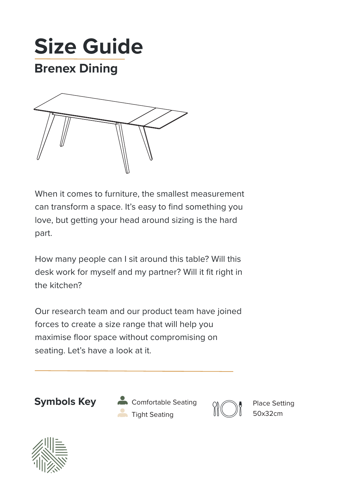



When it comes to furniture, the smallest measurement can transform a space. It's easy to find something you love, but getting your head around sizing is the hard part.

How many people can I sit around this table? Will this desk work for myself and my partner? Will it fit right in the kitchen?

Our research team and our product team have joined forces to create a size range that will help you maximise floor space without compromising on seating. Let's have a look at it.



**Symbols Key A** Comfortable Seating **Compare Setting** Tight Seating **II** 50x32cm



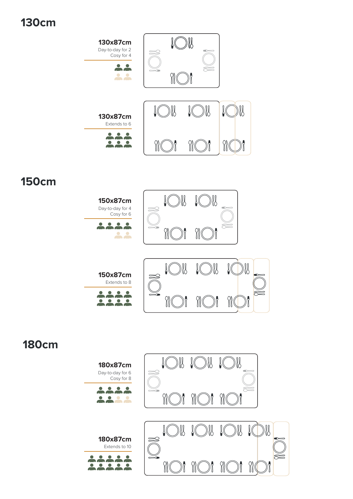## **130cm**



## **150cm**



## **180cm**

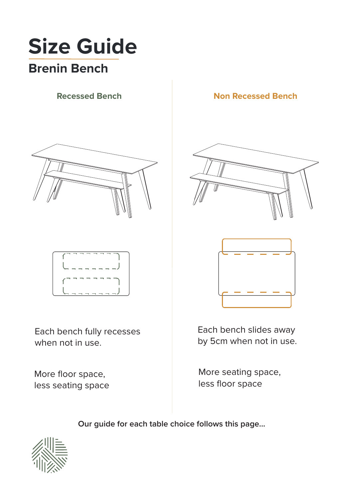# **Size Guide Brenin Bench**



Each bench fully recesses when not in use.

More floor space, less seating space

### **Recessed Bench Non Recessed Bench**





Each bench slides away by 5cm when not in use.

More seating space, less floor space

**Our guide for each table choice follows this page...**